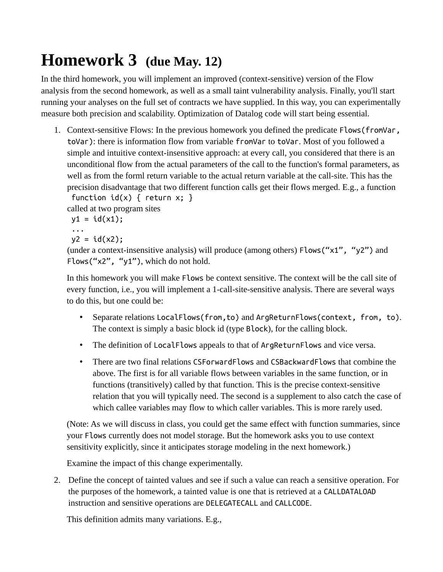## **Homework 3 (due May. 12)**

In the third homework, you will implement an improved (context-sensitive) version of the Flow analysis from the second homework, as well as a small taint vulnerability analysis. Finally, you'll start running your analyses on the full set of contracts we have supplied. In this way, you can experimentally measure both precision and scalability. Optimization of Datalog code will start being essential.

1. Context-sensitive Flows: In the previous homework you defined the predicate Flows(fromVar, toVar): there is information flow from variable fromVar to toVar. Most of you followed a simple and intuitive context-insensitive approach: at every call, you considered that there is an unconditional flow from the actual parameters of the call to the function's formal parameters, as well as from the forml return variable to the actual return variable at the call-site. This has the precision disadvantage that two different function calls get their flows merged. E.g., a function

function  $id(x)$  { return  $x;$  } called at two program sites

 $y1 = id(x1);$ 

...

 $y2 = id(x2)$ ;

(under a context-insensitive analysis) will produce (among others) Flows("x1", "y2") and Flows("x2", "y1"), which do not hold.

In this homework you will make Flows be context sensitive. The context will be the call site of every function, i.e., you will implement a 1-call-site-sensitive analysis. There are several ways to do this, but one could be:

- Separate relations LocalFlows(from,to) and ArgReturnFlows(context, from, to). The context is simply a basic block id (type Block), for the calling block.
- The definition of LocalFlows appeals to that of ArgReturnFlows and vice versa.
- There are two final relations CSForwardFlows and CSBackwardFlows that combine the above. The first is for all variable flows between variables in the same function, or in functions (transitively) called by that function. This is the precise context-sensitive relation that you will typically need. The second is a supplement to also catch the case of which callee variables may flow to which caller variables. This is more rarely used.

(Note: As we will discuss in class, you could get the same effect with function summaries, since your Flows currently does not model storage. But the homework asks you to use context sensitivity explicitly, since it anticipates storage modeling in the next homework.)

Examine the impact of this change experimentally.

2. Define the concept of tainted values and see if such a value can reach a sensitive operation. For the purposes of the homework, a tainted value is one that is retrieved at a CALLDATALOAD instruction and sensitive operations are DELEGATECALL and CALLCODE.

This definition admits many variations. E.g.,